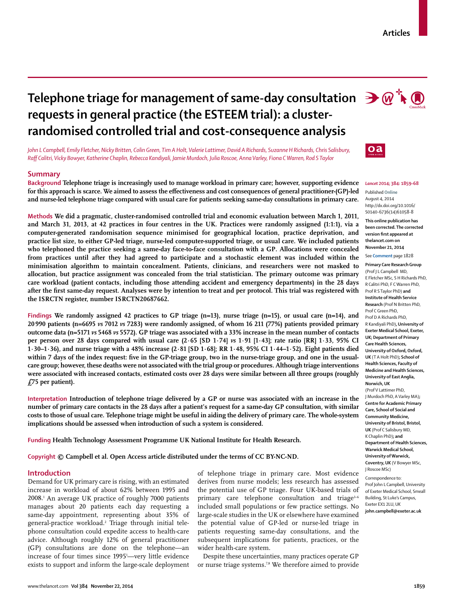# **Telephone triage for management of same-day consultation**  $\partial \mathcal{L}$  $\mathcal{D}$ **requests in general practice (the ESTEEM trial): a clusterrandomised controlled trial and cost-consequence analysis**

*John L Campbell, Emily Fletcher, Nicky Britten, Colin Green, Tim A Holt, Valerie Lattimer, David A Richards, Suzanne H Richards, Chris Salisbury, Raff Calitri, Vicky Bowyer, Katherine Chaplin, Rebecca Kandiyali, Jamie Murdoch, Julia Roscoe, Anna Varley, Fiona C Warren, Rod S Taylor*

# **Summary**

**Background Telephone triage is increasingly used to manage workload in primary care; however, supporting evidence**  for this approach is scarce. We aimed to assess the effectiveness and cost consequences of general practitioner-(GP)-led **and nurse-led telephone triage compared with usual care for patients seeking same-day consultations in primary care.**

**Methods We did a pragmatic, cluster-randomised controlled trial and economic evaluation between March 1, 2011, and March 31, 2013, at 42 practices in four centres in the UK. Practices were randomly assigned (1:1:1), via a computer-generated randomisation sequence minimised for geographical location, practice deprivation, and practice list size, to either GP-led triage, nurse-led computer-supported triage, or usual care. We included patients who telephoned the practice seeking a same-day face-to-face consultation with a GP. Allocations were concealed from practices until after they had agreed to participate and a stochastic element was included within the minimisation algorithm to maintain concealment. Patients, clinicians, and researchers were not masked to allocation, but practice assignment was concealed from the trial statistician. The primary outcome was primary care workload (patient contacts, including those attending accident and emergency departments) in the 28 days**  after the first same-day request. Analyses were by intention to treat and per protocol. This trial was registered with **the ISRCTN register, number ISRCTN20687662.**

**Findings We randomly assigned 42 practices to GP triage (n=13), nurse triage (n=15), or usual care (n=14), and 20 990 patients (n=6695** *vs* **7012** *vs* **7283) were randomly assigned, of whom 16 211 (77%) patients provided primary outcome data (n=5171** *vs* **5468** *vs* **5572). GP triage was associated with a 33% increase in the mean number of contacts per person over 28 days compared with usual care (2·65 [SD 1·74]** *vs* **1·91 [1·43]; rate ratio [RR] 1·33, 95% CI 1·30–1·36), and nurse triage with a 48% increase (2·81 [SD 1·68]; RR 1·48, 95% CI 1·44–1·52). Eight patients died**  within 7 days of the index request: five in the GP-triage group, two in the nurse-triage group, and one in the usual**care group; however, these deaths were not associated with the trial group or procedures. Although triage interventions were associated with increased contacts, estimated costs over 28 days were similar between all three groups (roughly £75 per patient).**

**Interpretation Introduction of telephone triage delivered by a GP or nurse was associated with an increase in the number of primary care contacts in the 28 days after a patient's request for a same-day GP consultation, with similar costs to those of usual care. Telephone triage might be useful in aiding the delivery of primary care. The whole-system implications should be assessed when introduction of such a system is considered.**

**Funding Health Technology Assessment Programme UK National Institute for Health Research.**

**Copyright © Campbell et al. Open Access article distributed under the terms of CC BY-NC-ND.**

# **Introduction**

Demand for UK primary care is rising, with an estimated increase in workload of about 62% between 1995 and 2008.1 An average UK practice of roughly 7000 patients manages about 20 patients each day requesting a same-day appointment, representing about 35% of general-practice workload.<sup>2</sup> Triage through initial telephone consultation could expedite access to health-care advice. Although roughly 12% of general practitioner (GP) consultations are done on the telephone—an increase of four times since 19951 —very little evidence exists to support and inform the large-scale deployment

of telephone triage in primary care. Most evidence derives from nurse models; less research has assessed the potential use of GP triage. Four UK-based trials of primary care telephone consultation and triage<sup>3-6</sup> included small populations or few practice settings. No large-scale studies in the UK or elsewhere have examined the potential value of GP-led or nurse-led triage in patients requesting same-day consultations, and the subsequent implications for patients, practices, or the wider health-care system.

Despite these uncertainties, many practices operate GP or nurse triage systems.<sup>78</sup> We therefore aimed to provide





#### *Lancet* **2014; 384: 1859–68**

Published **Online** August 4, 2014 http://dx.doi.org/10.1016/ S0140-6736(14)61058-8

**This online publication has been corrected. The corrected version first appeared at thelancet.com on November 21, 2014**

See **Comment** page 1828

**Primary Care Research Group** (Prof J L Campbell MD, E Fletcher MSc, S H Richards PhD, R Calitri PhD, F C Warren PhD, Prof R S Taylor PhD) **and Institute of Health Service Research** (Prof N Britten PhD, Prof C Green PhD, Prof D A Richards PhD, R Kandiyali PhD)**, University of Exeter Medical School, Exeter, UK; Department of Primary Care Health Sciences, University of Oxford, Oxford, UK** (T A Holt PhD)**; School of Health Sciences, Faculty of Medicine and Health Sciences, University of East Anglia, Norwich, UK** (Prof V Lattimer PhD, J Murdoch PhD, A Varley MA)**; Centre for Academic Primary Care, School of Social and Community Medicine, University of Bristol, Bristol, UK** (Prof C Salisbury MD, K Chaplin PhD)**; and Department of Health Sciences, Warwick Medical School, University of Warwick, Coventry, UK** (V Bowyer MSc, J Roscoe MSc) Correspondence to:

Prof John L Campbell, University of Exeter Medical School, Smeall Building, St Luke's Campus, Exeter EX1 2LU, UK **john.campbell@exeter.ac.uk**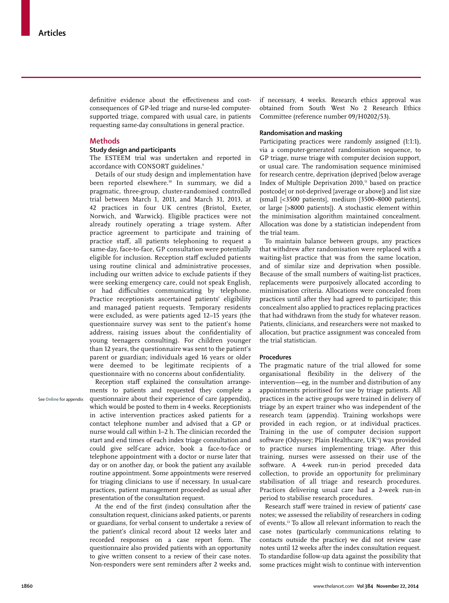definitive evidence about the effectiveness and costconsequences of GP-led triage and nurse-led computersupported triage, compared with usual care, in patients requesting same-day consultations in general practice.

# **Methods**

# **Study design and participants**

The ESTEEM trial was undertaken and reported in accordance with CONSORT guidelines.<sup>9</sup>

Details of our study design and implementation have been reported elsewhere.<sup>10</sup> In summary, we did a pragmatic, three-group, cluster-randomised controlled trial between March 1, 2011, and March 31, 2013, at 42 practices in four UK centres (Bristol, Exeter, Norwich, and Warwick). Eligible practices were not already routinely operating a triage system. After practice agreement to participate and training of practice staff, all patients telephoning to request a same-day, face-to-face, GP consultation were potentially eligible for inclusion. Reception staff excluded patients using routine clinical and administrative processes, including our written advice to exclude patients if they were seeking emergency care, could not speak English, or had difficulties communicating by telephone. Practice receptionists ascertained patients' eligibility and managed patient requests. Temporary residents were excluded, as were patients aged 12–15 years (the questionnaire survey was sent to the patient's home address, raising issues about the confidentiality of young teenagers consulting). For children younger than 12 years, the questionnaire was sent to the patient's parent or guardian; individuals aged 16 years or older were deemed to be legitimate recipients of a questionnaire with no concerns about confidentiality.

See **Online** for appendix

Reception staff explained the consultation arrangements to patients and requested they complete a questionnaire about their experience of care (appendix), which would be posted to them in 4 weeks. Receptionists in active intervention practices asked patients for a contact telephone number and advised that a GP or nurse would call within 1–2 h. The clinician recorded the start and end times of each index triage consultation and could give self-care advice, book a face-to-face or telephone appointment with a doctor or nurse later that day or on another day, or book the patient any available routine appointment. Some appointments were reserved for triaging clinicians to use if necessary. In usual-care practices, patient management proceeded as usual after presentation of the consultation request.

At the end of the first (index) consultation after the consultation request, clinicians asked patients, or parents or guardians, for verbal consent to undertake a review of the patient's clinical record about 12 weeks later and recorded responses on a case report form. The questionnaire also provided patients with an opportunity to give written consent to a review of their case notes. Non-responders were sent reminders after 2 weeks and, if necessary, 4 weeks. Research ethics approval was obtained from South West No 2 Research Ethics Committee (reference number 09/H0202/53).

#### **Randomisation and masking**

Participating practices were randomly assigned (1:1:1), via a computer-generated randomisation sequence, to GP triage, nurse triage with computer decision support, or usual care. The randomisation sequence minimised for research centre, deprivation (deprived [below average Index of Multiple Deprivation  $2010$ ,<sup>11</sup> based on practice postcode] or not-deprived [average or above]) and list size (small [<3500 patients], medium [3500–8000 patients], or large [>8000 patients]). A stochastic element within the minimisation algorithm maintained concealment. Allocation was done by a statistician independent from the trial team.

To maintain balance between groups, any practices that withdrew after randomisation were replaced with a waiting-list practice that was from the same location, and of similar size and deprivation when possible. Because of the small numbers of waiting-list practices, replacements were purposively allocated according to minimisation criteria. Allocations were concealed from practices until after they had agreed to participate; this concealment also applied to practices replacing practices that had withdrawn from the study for whatever reason. Patients, clinicians, and researchers were not masked to allocation, but practice assignment was concealed from the trial statistician.

#### **Procedures**

The pragmatic nature of the trial allowed for some organisational flexibility in the delivery of the intervention—eg, in the number and distribution of any appointments prioritised for use by triage patients. All practices in the active groups were trained in delivery of triage by an expert trainer who was independent of the research team (appendix). Training workshops were provided in each region, or at individual practices. Training in the use of computer decision support software (Odyssey; Plain Healthcare, UK<sup>12</sup>) was provided to practice nurses implementing triage. After this training, nurses were assessed on their use of the software. A 4-week run-in period preceded data collection, to provide an opportunity for preliminary stabilisation of all triage and research procedures. Practices delivering usual care had a 2-week run-in period to stabilise research procedures.

Research staff were trained in review of patients' case notes; we assessed the reliability of researchers in coding of events.13 To allow all relevant information to reach the case notes (particularly communications relating to contacts outside the practice) we did not review case notes until 12 weeks after the index consultation request. To standardise follow-up data against the possibility that some practices might wish to continue with intervention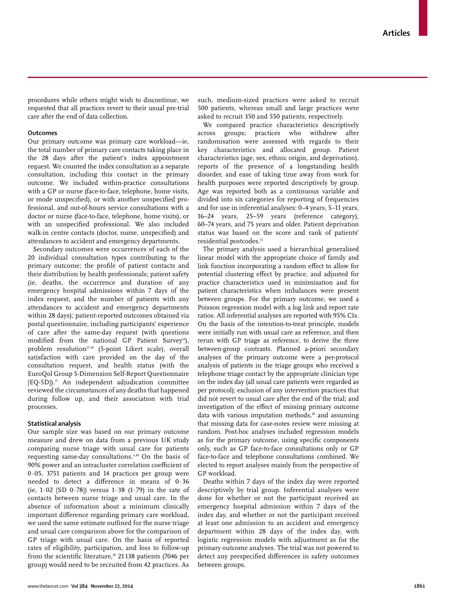procedures while others might wish to discontinue, we requested that all practices revert to their usual pre-trial care after the end of data collection.

#### **Outcomes**

Our primary outcome was primary care workload—ie, the total number of primary care contacts taking place in the 28 days after the patient's index appointment request. We counted the index consultation as a separate consultation, including this contact in the primary outcome. We included within-practice consultations with a GP or nurse (face-to-face, telephone, home visits, or mode unspecified), or with another unspecified professional, and out-of-hours service consultations with a doctor or nurse (face-to-face, telephone, home visits), or with an unspecified professional. We also included walk-in centre contacts (doctor, nurse, unspecified) and attendances to accident and emergency departments.

Secondary outcomes were occurrences of each of the 20 individual consultation types contributing to the primary outcome; the profile of patient contacts and their distribution by health professionals; patient safety (ie, deaths, the occurrence and duration of any emergency hospital admissions within 7 days of the index request, and the number of patients with any attendances to accident and emergency departments within 28 days); patient-reported outcomes obtained via postal question naire, including participants' experience of care after the same-day request (with questions modified from the national GP Patient Survey<sup>14</sup>), problem resolution<sup>15,16</sup> (5-point Likert scale), overall satisfaction with care provided on the day of the consultation request, and health status (with the EuroQol Group 5-Dimension Self-Report Questionnaire  $[EQ-5D]$ .<sup>17</sup> An independent adjudication committee reviewed the circumstances of any deaths that happened during follow up, and their association with trial processes.

#### **Statistical analysis**

Our sample size was based on our primary outcome measure and drew on data from a previous UK study comparing nurse triage with usual care for patients requesting same-day consultations.3,10 On the basis of 90% power and an intracluster correlation coefficient of 0·05, 3751 patients and 14 practices per group were needed to detect a difference in means of  $0.36$ (ie,  $1.02$  [SD  $0.78$ ]) versus  $1.38$  (1.79) in the rate of contacts between nurse triage and usual care. In the absence of information about a minimum clinically important difference regarding primary care workload, we used the same estimate outlined for the nurse triage and usual care comparison above for the comparison of GP triage with usual care. On the basis of reported rates of eligibility, participation, and loss to follow-up from the scientific literature,<sup>10</sup> 21138 patients (7046 per group) would need to be recruited from 42 practices. As

such, medium-sized practices were asked to recruit 500 patients, whereas small and large practices were asked to recruit 350 and 550 patients, respectively.

We compared practice characteristics descriptively across groups; practices who withdrew after randomisation were assessed with regards to their key characteristics and allocated group. Patient characteristics (age, sex, ethnic origin, and deprivation), reports of the presence of a longstanding health disorder, and ease of taking time away from work for health purposes were reported descriptively by group. Age was reported both as a continuous variable and divided into six categories for reporting of frequencies and for use in inferential analyses: 0–4 years, 5–11 years, 16–24 years, 25–59 years (reference category), 60–74 years, and 75 years and older. Patient deprivation status was based on the score and rank of patients' residential postcodes.<sup>11</sup>

The primary analysis used a hierarchical generalised linear model with the appropriate choice of family and link function incorporating a random effect to allow for potential clustering effect by practice, and adjusted for practice characteristics used in minimisation and for patient characteristics when imbalances were present between groups. For the primary outcome, we used a Poisson regression model with a log link and report rate ratios. All inferential analyses are reported with 95% CIs. On the basis of the intention-to-treat principle, models were initially run with usual care as reference, and then rerun with GP triage as reference, to derive the three between-group contrasts. Planned a-priori secondary analyses of the primary outcome were a per-protocol analysis of patients in the triage groups who received a telephone triage contact by the appropriate clinician type on the index day (all usual care patients were regarded as per protocol); exclusion of any intervention practices that did not revert to usual care after the end of the trial; and investigation of the effect of missing primary outcome data with various imputation methods,<sup>18</sup> and assuming that missing data for case-notes review were missing at random. Post-hoc analyses included regression models as for the primary outcome, using specific components only, such as GP face-to-face consultations only or GP face-to-face and telephone consultations combined. We elected to report analyses mainly from the perspective of GP workload.

Deaths within 7 days of the index day were reported descriptively by trial group. Inferential analyses were done for whether or not the participant received an emergency hospital admission within 7 days of the index day, and whether or not the participant received at least one admission to an accident and emergency department within 28 days of the index day, with logistic regression models with adjustment as for the primary outcome analyses. The trial was not powered to detect any prespecified differences in safety outcomes between groups.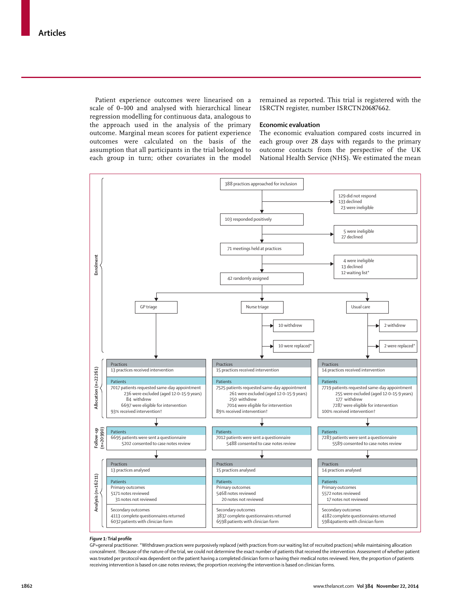Patient experience outcomes were linearised on a scale of 0–100 and analysed with hierarchical linear regression modelling for continuous data, analogous to the approach used in the analysis of the primary outcome. Marginal mean scores for patient experience outcomes were calculated on the basis of the assumption that all participants in the trial belonged to each group in turn; other covariates in the model remained as reported. This trial is registered with the ISRCTN register, number ISRCTN20687662.

# **Economic evaluation**

The economic evaluation compared costs incurred in each group over 28 days with regards to the primary outcome contacts from the perspective of the UK National Health Service (NHS). We estimated the mean



#### **Figure 1:** Trial profile

GP=general practitioner. \*Withdrawn practices were purposively replaced (with practices from our waiting list of recruited practices) while maintaining allocation concealment. †Because of the nature of the trial, we could not determine the exact number of patients that received the intervention. Assessment of whether patient was treated per protocol was dependent on the patient having a completed clinician form or having their medical notes reviewed. Here, the proportion of patients receiving intervention is based on case notes reviews; the proportion receiving the intervention is based on clinician forms.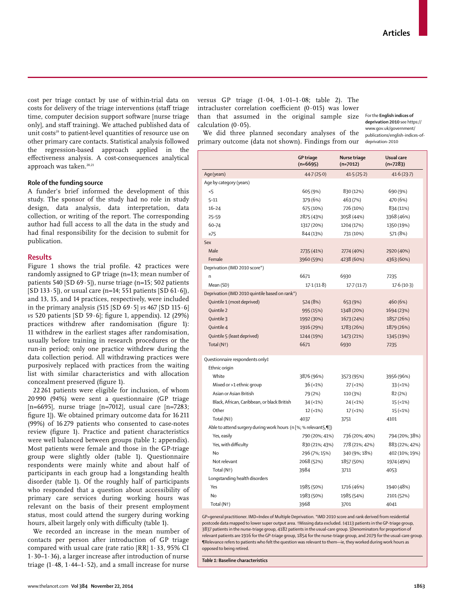cost per triage contact by use of within-trial data on costs for delivery of the triage interventions (staff triage time, computer decision support software [nurse triage only], and staff training). We attached published data of unit costs<sup>19</sup> to patient-level quantities of resource use on other primary care contacts. Statistical analysis followed the regression-based approach applied in the effectiveness analysis. A cost-consequences analytical approach was taken.<sup>20,21</sup>

#### **Role of the funding source**

A funder's brief informed the development of this study. The sponsor of the study had no role in study design, data analysis, data interpretation, data collection, or writing of the report. The corresponding author had full access to all the data in the study and had final responsibility for the decision to submit for publication.

#### **Results**

Figure 1 shows the trial profile. 42 practices were randomly assigned to GP triage (n=13; mean number of patients 540 [SD 69·5]), nurse triage (n=15; 502 patients [SD 133 $\cdot$  5]), or usual care (n=14; 551 patients [SD 61 $\cdot$  6]), and 13, 15, and 14 practices, respectively, were included in the primary analysis (515 [SD 69·5] *vs* 467 [SD 115·6] *vs* 520 patients [SD 59.6]; figure 1, appendix). 12 (29%) practices withdrew after randomisation (figure 1): 11 withdrew in the earliest stages after randomisation, usually before training in research procedures or the run-in period; only one practice withdrew during the data collection period. All withdrawing practices were purposively replaced with practices from the waiting list with similar characteristics and with allocation concealment preserved (figure 1).

22 261 patients were eligible for inclusion, of whom 20 990 (94%) were sent a questionnaire (GP triage [n=6695], nurse triage [n=7012], usual care [n=7283; figure 1]). We obtained primary outcome data for 16 211 (99%) of 16 279 patients who consented to case-notes review (figure 1). Practice and patient characteristics were well balanced between groups (table 1; appendix). Most patients were female and those in the GP-triage group were slightly older (table 1). Questionnaire respondents were mainly white and about half of participants in each group had a longstanding health disorder (table 1). Of the roughly half of participants who responded that a question about accessibility of primary care services during working hours was relevant on the basis of their present employment status, most could attend the surgery during working hours, albeit largely only with difficulty (table 1).

We recorded an increase in the mean number of contacts per person after introduction of GP triage compared with usual care (rate ratio [RR] 1·33, 95% CI 1·30–1·36), a larger increase after introduction of nurse triage  $(1.48, 1.44-1.52)$ , and a small increase for nurse

versus GP triage (1·04, 1·01–1·08; table 2). The intracluster correlation coefficient  $(0.015)$  was lower than that assumed in the original sample size calculation  $(0.05)$ .

We did three planned secondary analyses of the primary outcome (data not shown). Findings from our

For the **English indices of deprivation 2010** see https:// www.gov.uk/government/ publications/english-indices-ofdeprivation-2010

|                                                                   | <b>GP triage</b><br>$(n=6695)$ | Nurse triage<br>$(n=7012)$ | Usual care<br>$(n=7283)$ |  |  |  |  |
|-------------------------------------------------------------------|--------------------------------|----------------------------|--------------------------|--|--|--|--|
| Age(years)                                                        | 44.7 (25.0)                    | 41.5(25.2)                 | 41.6(23.7)               |  |  |  |  |
| Age by category (years)                                           |                                |                            |                          |  |  |  |  |
| 5                                                                 | 605 (9%)                       | 830 (12%)                  | 690 (9%)                 |  |  |  |  |
| $5 - 11$                                                          | 379 (6%)                       | 463 (7%)                   | 470 (6%)                 |  |  |  |  |
| $16 - 24$                                                         | 675 (10%)                      | 726 (10%)                  | 834 (11%)                |  |  |  |  |
| $25 - 59$                                                         | 2875 (43%)                     | 3058 (44%)                 | 3368 (46%)               |  |  |  |  |
| 60-74                                                             | 1317 (20%)                     | 1204 (17%)                 | 1350 (19%)               |  |  |  |  |
| $\geq 75$                                                         | 844 (13%)                      | 731 (10%)                  | 571 (8%)                 |  |  |  |  |
| Sex                                                               |                                |                            |                          |  |  |  |  |
| Male                                                              | 2735 (41%)                     | 2774 (40%)                 | 2920 (40%)               |  |  |  |  |
| Female                                                            | 3960 (59%)                     | 4238 (60%)                 | 4363 (60%)               |  |  |  |  |
| Deprivation (IMD 2010 score*)                                     |                                |                            |                          |  |  |  |  |
| n                                                                 | 6671                           | 6930                       | 7235                     |  |  |  |  |
| Mean (SD)                                                         | 17.1(11.8)                     | 17.7(11.7)                 | 17.6(10.3)               |  |  |  |  |
| Deprivation (IMD 2010 quintile based on rank*)                    |                                |                            |                          |  |  |  |  |
| Quintile 1 (most deprived)                                        | 524 (8%)                       | 653 (9%)                   | 460 (6%)                 |  |  |  |  |
| Quintile 2                                                        | 995 (15%)                      | 1348 (20%)                 | 1694 (23%)               |  |  |  |  |
| Quintile 3                                                        | 1992 (30%)                     | 1673 (24%)                 | 1857 (26%)               |  |  |  |  |
| Quintile 4                                                        | 1916 (29%)                     | 1783 (26%)                 | 1879 (26%)               |  |  |  |  |
| Quintile 5 (least deprived)                                       | 1244 (19%)                     | 1473 (21%)                 | 1345 (19%)               |  |  |  |  |
| Total (N <sup>†</sup> )                                           | 6671                           | 6930                       | 7235                     |  |  |  |  |
|                                                                   |                                |                            |                          |  |  |  |  |
| Questionnaire respondents only‡                                   |                                |                            |                          |  |  |  |  |
| Ethnic origin                                                     |                                |                            |                          |  |  |  |  |
| White                                                             | 3876 (96%)                     | 3573 (95%)                 | 3956 (96%)               |  |  |  |  |
| Mixed or >1 ethnic group                                          | $36 (-1%)$                     | $27 (-1%)$                 | $33 (-1%)$               |  |  |  |  |
| Asian or Asian British                                            | 79 (2%)                        | 110 (3%)                   | 82 (2%)                  |  |  |  |  |
| Black, African, Caribbean, or black British                       | $34 (-1%)$                     | $24 (-1%)$                 | $15 (-1%)$               |  |  |  |  |
| Other                                                             | $12 (-1%)$                     | $17(-1%)$                  | 15(1%)                   |  |  |  |  |
| Total (N‡)                                                        | 4037                           | 3751                       | 4101                     |  |  |  |  |
| Able to attend surgery during work hours (n [%; % relevant §, ¶]) |                                |                            |                          |  |  |  |  |
| Yes, easily                                                       | 790 (20%; 41%)                 | 736 (20%; 40%)             | 794 (20%; 38%)           |  |  |  |  |
| Yes, with difficulty                                              | 830 (21%; 43%)                 | 778 (21%; 42%)             | 883 (22%; 42%)           |  |  |  |  |
| No                                                                | 296 (7%; 15%)                  | 340 (9%; 18%)              | 402 (10%; 19%)           |  |  |  |  |
| Not relevant                                                      | 2068 (52%)                     | 1857 (50%)                 | 1974 (49%)               |  |  |  |  |
| Total (N <sup>+</sup> )                                           | 3984                           | 3711                       | 4053                     |  |  |  |  |
| Longstanding health disorders                                     |                                |                            |                          |  |  |  |  |
| Yes                                                               | 1985 (50%)                     | 1716 (46%)                 | 1940 (48%)               |  |  |  |  |
| No                                                                | 1983 (50%)                     | 1985 (54%)                 | 2101 (52%)               |  |  |  |  |
| Total (N <sup>+</sup> )                                           | 3968                           | 3701                       | 4041                     |  |  |  |  |

GP=general practitioner. IMD=Index of Multiple Deprivation. \*IMD 2010 score and rank derived from residential postcode data mapped to lower super output area. †Missing data excluded. ‡4113 patients in the GP-triage group, 3837 patients in the nurse-triage group, 4182 patients in the usual-care group. §Denominators for proportion of relevant patients are 1916 for the GP-triage group, 1854 for the nurse-triage group, and 2079 for the usual-care group. ¶Relevance refers to patients who felt the question was relevant to them—ie, they worked during work hours as opposed to being retired.

*Table 1:* **Baseline characteristics**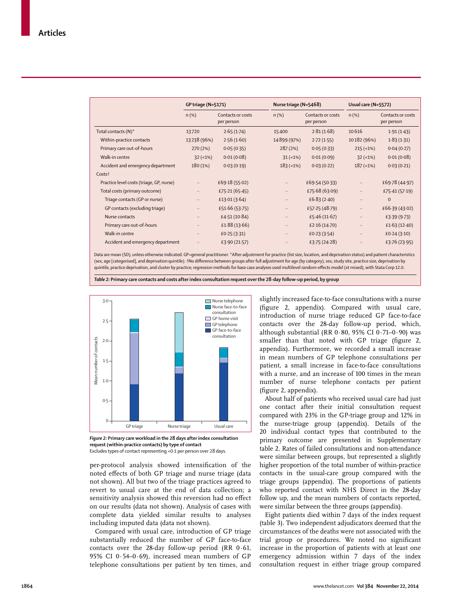|                                          | <b>GP triage (N=5171)</b> |                                 |             | Nurse triage (N=5468)           |             | Usual care (N=5572)             |  |
|------------------------------------------|---------------------------|---------------------------------|-------------|---------------------------------|-------------|---------------------------------|--|
|                                          | $n$ (%)                   | Contacts or costs<br>per person | $n$ (%)     | Contacts or costs<br>per person | $n$ (%)     | Contacts or costs<br>per person |  |
| Total contacts (N)*                      | 13720                     | 2.65(1.74)                      | 15400       | 2.81(1.68)                      | 10616       | 1.91(1.43)                      |  |
| Within-practice contacts                 | 13238 (96%)               | 2.56(1.60)                      | 14899 (97%) | 2.72(1.55)                      | 10182 (96%) | 1.83(1.31)                      |  |
| Primary care out-of-hours                | 270(2%)                   | 0.05(0.35)                      | 287(2%)     | 0.05(0.33)                      | $215 (-1%)$ | 0.04(0.27)                      |  |
| Walk-in centre                           | $32 (-1%)$                | 0.01(0.08)                      | $31 (-1%)$  | 0.01(0.09)                      | $32 (-1%)$  | 0.01(0.08)                      |  |
| Accident and emergency department        | 180(1%)                   | 0.03(0.19)                      | $183 (-1%)$ | 0.03(0.22)                      | $187 (-1%)$ | 0.03(0.21)                      |  |
| Costs <sup>+</sup>                       |                           |                                 |             |                                 |             |                                 |  |
| Practice level costs (triage, GP, nurse) | $\ddotsc$                 | £69.18 (55.02)                  |             | £69.54 (50.33)                  | $\ldots$    | £69.78 (44.97)                  |  |
| Total costs (primary outcome)            | $\ddotsc$                 | £75.21 (65.45)                  | $\cdots$    | £75.68 (63.09)                  | $\cdots$    | £75.41 (57.19)                  |  |
| Triage contacts (GP or nurse)            | $\cdots$                  | £13.01 $(3.64)$                 | $\cdots$    | £6.83 $(2.40)$                  |             | $\mathbf{0}$                    |  |
| GP contacts (excluding triage)           | $\ddotsc$                 | £51.66 (53.75)                  | $\cdots$    | £57.25 (48.79)                  | $\cdots$    | £66.39 (43.02)                  |  |
| Nurse contacts                           | $\ddotsc$                 | £4.51(10.84)                    | $\cdots$    | £5.46 $(11.67)$                 | $\cdots$    | £3.39 $(9.73)$                  |  |
| Primary care out-of-hours                | $\ddotsc$                 | £1.88 $(13.66)$                 | $\cdots$    | £2.16 $(14.70)$                 | $\ddotsc$   | £1.63 $(12.40)$                 |  |
| Walk-in centre                           | $\ddotsc$                 | £0.25(3.31)                     | $\cdots$    | £0.23(3.54)                     |             | £0.24(3.10)                     |  |
| Accident and emergency department        |                           | £3.90 (21.57)                   |             | £3.75 $(24.28)$                 |             | £3.76 $(23.95)$                 |  |

Data are mean (SD), unless otherwise indicated. GP=general practitioner. \*After adjustment for practice (list size, location, and deprivation status) and patient characteristics (sex, age [categorised], and deprivation quintile). †No difference between groups after full adjustment for age (by category), sex, study site, practice size, deprivation by quintile, practice deprivation, and cluster by practice; regression methods for base case analyses used multilevel random-effects model (xt mixed), with Stata Corp 12.0.

*Table 2:* **Primary care contacts and costs after index consultation request over the 28-day follow-up period, by group** 



 *Figure 2:* **Primary care workload in the 28 days after index consultation request (within-practice contacts) by type of contact** Excludes types of contact representing <0·1 per person over 28 days.

per-protocol analysis showed intensification of the noted effects of both GP triage and nurse triage (data not shown). All but two of the triage practices agreed to revert to usual care at the end of data collection; a sensitivity analysis showed this reversion had no effect on our results (data not shown). Analysis of cases with complete data yielded similar results to analyses including imputed data (data not shown).

Compared with usual care, introduction of GP triage substantially reduced the number of GP face-to-face contacts over the 28-day follow-up period (RR 0·61, 95% CI 0·54–0·69), increased mean numbers of GP telephone consultations per patient by ten times, and slightly increased face-to-face consultations with a nurse  $(figure 2, appendix)$ . Compared with usual care, introduction of nurse triage reduced GP face-to-face contacts over the 28-day follow-up period, which, although substantial (RR  $0.80$ , 95% CI  $0.71-0.90$ ) was smaller than that noted with GP triage (figure 2, appendix). Furthermore, we recorded a small increase in mean numbers of GP telephone consultations per patient, a small increase in face-to-face consultations with a nurse, and an increase of 100 times in the mean number of nurse telephone contacts per patient (figure 2, appendix).

About half of patients who received usual care had just one contact after their initial consultation request compared with 23% in the GP-triage group and 12% in the nurse-triage group (appendix). Details of the 20 individual contact types that contributed to the primary outcome are presented in Supplementary table 2. Rates of failed consultations and non-attendance were similar between groups, but represented a slightly higher proportion of the total number of within-practice contacts in the usual-care group compared with the triage groups (appendix). The proportions of patients who reported contact with NHS Direct in the 28-day follow up, and the mean numbers of contacts reported, were similar between the three groups (appendix).

Eight patients died within 7 days of the index request (table 3). Two independent adjudicators deemed that the circumstances of the deaths were not associated with the trial group or procedures. We noted no significant increase in the proportion of patients with at least one emergency admission within 7 days of the index consultation request in either triage group compared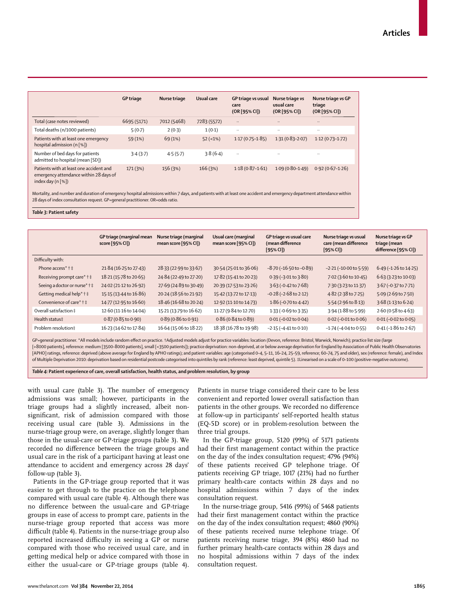|                                                                                                                      | <b>GP</b> triage | Nurse triage | Usual care  | GP triage vs usual<br>care<br>(OR [95% CI]) | Nurse triage vs<br>usual care<br>(OR [95% CI]) | Nurse triage vs GP<br>triage<br>(OR [95% CI]) |
|----------------------------------------------------------------------------------------------------------------------|------------------|--------------|-------------|---------------------------------------------|------------------------------------------------|-----------------------------------------------|
| Total (case notes reviewed)                                                                                          | 6695 (5171)      | 7012 (5468)  | 7283 (5572) |                                             | $\cdot$                                        | $\cdots$                                      |
| Total deaths (n/1000 patients)                                                                                       | 5(0.7)           | 2(0.3)       | 1(0.1)      | $\cdot$ .                                   | $\cdot$ .                                      |                                               |
| Patients with at least one emergency<br>hospital admission $(n \lceil \frac{6}{6} \rceil)$                           | 59 (1%)          | 69 (1%)      | $52$ (<1%)  | $1.17(0.75 - 1.85)$                         | $1.31(0.83 - 2.07)$                            | $1.12(0.73 - 1.72)$                           |
| Number of bed days for patients<br>admitted to hospital (mean [SD])                                                  | 3.4(3.7)         | 4.5(5.7)     | 3.8(6.4)    | $\cdot$ .                                   | $\cdot$                                        | $\cdot$ .                                     |
| Patients with at least one accident and<br>emergency attendance within 28 days of<br>index day $(n \lceil % \rceil)$ | 171 (3%)         | 156 (3%)     | 166(3%)     | $1.18(0.87 - 1.61)$                         | $1.09(0.80-1.49)$                              | $0.92(0.67-1.26)$                             |

Mortality, and number and duration of emergency hospital admissions within 7 days, and patients with at least one accident and emergency department attendance within 28 days of index consultation request. GP=general practitioner. OR=odds ratio.

#### *Table 3:* **Patient safety**

|                               | GP triage (marginal mean<br>score [95% CI]) | Nurse triage (marginal<br>mean score [95% CI]) | Usual care (marginal<br>mean score [95% CI]) | GP triage vs usual care<br>(mean difference<br>[95% CI] | Nurse triage vs usual<br>care (mean difference<br>$[95%$ CI]) | Nurse triage vs GP<br>triage (mean<br>difference [95% CI]) |
|-------------------------------|---------------------------------------------|------------------------------------------------|----------------------------------------------|---------------------------------------------------------|---------------------------------------------------------------|------------------------------------------------------------|
| Difficulty with:              |                                             |                                                |                                              |                                                         |                                                               |                                                            |
| Phone access* † ‡             | 21.84 (16.25 to 27.43)                      | 28.33 (22.99 to 33.67)                         | 30.54 (25.01 to 36.06)                       | $-8.70$ ( $-16.50$ to $-0.89$ )                         | $-2.21(-10.00$ to $5.59$ )                                    | 6.49 (-1.26 to 14.25)                                      |
| Receiving prompt care* † ‡    | 18.21 (15.78 to 20.65)                      | 24.84 (22.49 to 27.20)                         | 17.82 (15.41 to 20.23)                       | $0.39$ (-3.01 to 3.80)                                  | 7.02 (3.60 to 10.45)                                          | $6.63(3.23 \text{ to } 10.03)$                             |
| Seeing a doctor or nurse* † ‡ | 24.02 (21.12 to 26.92)                      | 27.69 (24.89 to 30.49)                         | 20.39 (17.53 to 23.26)                       | 3.63 (-0.42 to 7.68)                                    | 7.30 (3.23 to 11.37)                                          | 3.67 (-0.37 to 7.71)                                       |
| Getting medical help* † ‡     | 15.15 (13.44 to 16.86)                      | 20.24 (18.56 to 21.92)                         | 15.42 (13.72 to 17.13)                       | $-0.28$ ( $-2.68$ to 2.12)                              | 4.82 (2.38 to 7.25)                                           | 5.09 (2.69 to 7.50)                                        |
| Convenience of care* † ‡      | 14.77 (12.95 to 16.60)                      | 18.46 (16.68 to 20.24)                         | 12.92 (11.10 to 14.73)                       | $1.86 (-0.70 to 4.42)$                                  | 5.54 (2.96 to 8.13)                                           | $3.68(1.13 \text{ to } 6.24)$                              |
| Overall satisfaction ‡        | 12.60 (11.16 to 14.04)                      | 15.21 (13.79 to 16.62)                         | 11.27 (9.84 to 12.70)                        | 1.33 (-0.69 to 3.35)                                    | 3.94 (1.88 to 5.99)                                           | 2.60 (0.58 to 4.63)                                        |
| Health status‡                | $0.87(0.85 \text{ to } 0.90)$               | $0.89(0.86 \text{ to } 0.91)$                  | $0.86(0.84 \text{ to } 0.89)$                | $0.01 (-0.02 to 0.04)$                                  | $0.02$ (-0.01 to $0.06$ )                                     | $0.01 (-0.02 to 0.05)$                                     |
| Problem resolution‡           | 16.23 (14.62 to 17.84)                      | 16.64 (15.06 to 18.22)                         | 18.38 (16.78 to 19.98)                       | $-2.15$ ( $-4.41$ to 0.10)                              | $-1.74$ ( $-4.04$ to 0.55)                                    | $0.41 (-1.86 to 2.67)$                                     |
|                               |                                             |                                                |                                              |                                                         |                                                               |                                                            |

GP=general practitioner. \*All models include random effect on practice. †Adjusted models adjust for practice variables: location (Devon, reference: Bristol, Warwick, Norwich); practice list size (large [>8000 patients], reference: medium [3500–8000 patients], small [<3500 patients]); practice deprivation: non-deprived, at or below average deprivation for England by Association of Public Health Observatories [APHO] ratings, reference: deprived (above average for England by APHO ratings); and patient variables: age (categorised 0-4, 5-11, 16-24, 25-59, reference; 60-74, 75 and older), sex (reference: female), and Index of Multiple Deprivation 2010: deprivation based on residential postcode categorised into quintiles by rank (reference: least deprived, quintile 5). ‡Linearised on a scale of 0–100 (positive–negative outcome).

*Table 4:* **Patient experience of care, overall satisfaction, health status, and problem resolution, by group**

with usual care (table 3). The number of emergency admissions was small; however, participants in the triage groups had a slightly increased, albeit nonsignificant, risk of admission compared with those receiving usual care (table 3). Admissions in the nurse-triage group were, on average, slightly longer than those in the usual-care or GP-triage groups (table 3). We recorded no difference between the triage groups and usual care in the risk of a participant having at least one attendance to accident and emergency across 28 days' follow-up (table 3).

Patients in the GP-triage group reported that it was easier to get through to the practice on the telephone compared with usual care (table 4). Although there was no difference between the usual-care and GP-triage groups in ease of access to prompt care, patients in the nurse-triage group reported that access was more difficult (table 4). Patients in the nurse-triage group also reported increased difficulty in seeing a GP or nurse compared with those who received usual care, and in getting medical help or advice compared with those in either the usual-care or GP-triage groups (table 4). Patients in nurse triage considered their care to be less convenient and reported lower overall satisfaction than patients in the other groups. We recorded no difference at follow-up in participants' self-reported health status (EQ-5D score) or in problem-resolution between the three trial groups.

In the GP-triage group, 5120 (99%) of 5171 patients had their first management contact within the practice on the day of the index consultation request; 4796 (94%) of these patients received GP telephone triage. Of patients receiving GP triage, 1017 (21%) had no further primary health-care contacts within 28 days and no hospital admissions within 7 days of the index consultation request.

In the nurse-triage group, 5416 (99%) of 5468 patients had their first management contact within the practice on the day of the index consultation request; 4860 (90%) of these patients received nurse telephone triage. Of patients receiving nurse triage, 394 (8%) 4860 had no further primary health-care contacts within 28 days and no hospital admissions within 7 days of the index consultation request.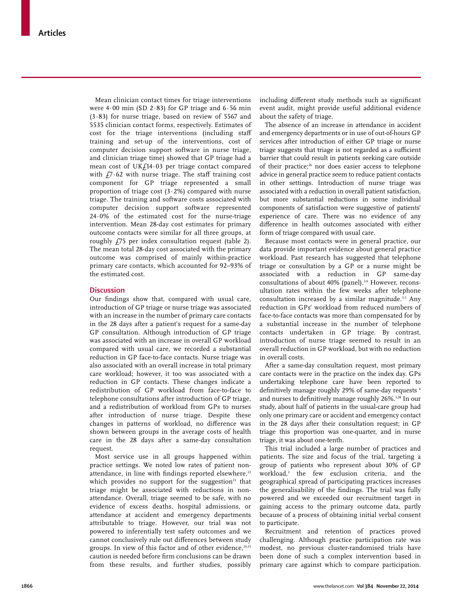Mean clinician contact times for triage interventions were  $4.00$  min (SD  $2.83$ ) for GP triage and  $6.56$  min (3·83) for nurse triage, based on review of 5567 and 5535 clinician contact forms, respectively. Estimates of cost for the triage interventions (including staff training and set-up of the interventions, cost of computer decision support software in nurse triage, and clinician triage time) showed that GP triage had a mean cost of UK $f$ 14·03 per triage contact compared with  $f7.62$  with nurse triage. The staff training cost component for GP triage represented a small proportion of triage cost  $(3.2%)$  compared with nurse triage. The training and software costs associated with computer decision support software represented 24·0% of the estimated cost for the nurse-triage intervention. Mean 28-day cost estimates for primary outcome contacts were similar for all three groups, at roughly £75 per index consultation request (table 2). The mean total 28-day cost associated with the primary outcome was comprised of mainly within-practice primary care contacts, which accounted for 92–93% of the estimated cost.

# **Discussion**

Our findings show that, compared with usual care, introduction of GP triage or nurse triage was associated with an increase in the number of primary care contacts in the 28 days after a patient's request for a same-day GP consultation. Although introduction of GP triage was associated with an increase in overall GP workload compared with usual care, we recorded a substantial reduction in GP face-to-face contacts. Nurse triage was also associated with an overall increase in total primary care workload; however, it too was associated with a reduction in GP contacts. These changes indicate a redistribution of GP workload from face-to-face to telephone consultations after introduction of GP triage, and a redistribution of workload from GPs to nurses after introduction of nurse triage. Despite these changes in patterns of workload, no difference was shown between groups in the average costs of health care in the 28 days after a same-day consultation request.

Most service use in all groups happened within practice settings. We noted low rates of patient nonattendance, in line with findings reported elsewhere,<sup>22</sup> which provides no support for the suggestion $23$  that triage might be associated with reductions in nonattendance. Overall, triage seemed to be safe, with no evidence of excess deaths, hospital admissions, or attendance at accident and emergency departments attributable to triage. However, our trial was not powered to inferentially test safety outcomes and we cannot conclusively rule out differences between study groups. In view of this factor and of other evidence,<sup>24,25</sup> caution is needed before firm conclusions can be drawn from these results, and further studies, possibly including different study methods such as significant event audit, might provide useful additional evidence about the safety of triage.

The absence of an increase in attendance in accident and emergency departments or in use of out-of-hours GP services after introduction of either GP triage or nurse triage suggests that triage is not regarded as a sufficient barrier that could result in patients seeking care outside of their practice;<sup>26</sup> nor does easier access to telephone advice in general practice seem to reduce patient contacts in other settings. Introduction of nurse triage was associated with a reduction in overall patient satisfaction, but more substantial reductions in some individual components of satisfaction were suggestive of patients' experience of care. There was no evidence of any difference in health outcomes associated with either form of triage compared with usual care.

Because most contacts were in general practice, our data provide important evidence about general practice workload. Past research has suggested that telephone triage or consultation by a GP or a nurse might be associated with a reduction in GP same-day consultations of about 40% (panel).<sup>3,6</sup> However, reconsultation rates within the few weeks after telephone consultation increased by a similar magnitude.<sup>3,5</sup> Any reduction in GPs' workload from reduced numbers of face-to-face contacts was more than compensated for by a substantial increase in the number of telephone contacts undertaken in GP triage. By contrast, introduction of nurse triage seemed to result in an overall reduction in GP workload, but with no reduction in overall costs.

After a same-day consultation request, most primary care contacts were in the practice on the index day. GPs undertaking telephone care have been reported to definitively manage roughly 29% of same-day requests <sup>6</sup> and nurses to definitively manage roughly 26%.<sup>3,28</sup> In our study, about half of patients in the usual-care group had only one primary care or accident and emergency contact in the 28 days after their consultation request; in GP triage this proportion was one-quarter, and in nurse triage, it was about one-tenth.

This trial included a large number of practices and patients. The size and focus of the trial, targeting a group of patients who represent about 30% of GP workload,<sup>2</sup> the few exclusion criteria, and the geographical spread of participating practices increases the generalisability of the findings. The trial was fully powered and we exceeded our recruitment target in gaining access to the primary outcome data, partly because of a process of obtaining initial verbal consent to participate.

Recruitment and retention of practices proved challenging. Although practice participation rate was modest, no previous cluster-randomised trials have been done of such a complex intervention based in primary care against which to compare participation.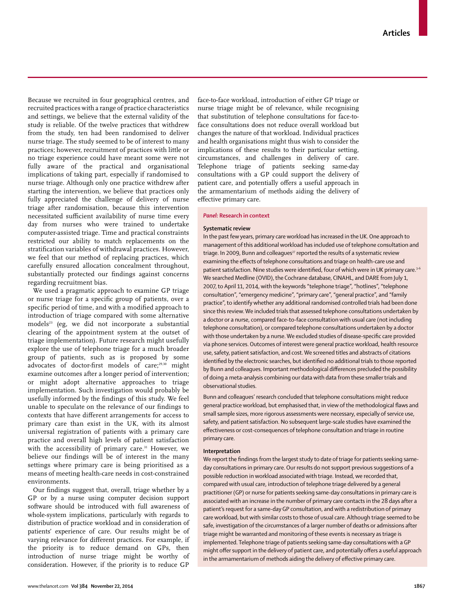Because we recruited in four geographical centres, and recruited practices with a range of practice characteristics and settings, we believe that the external validity of the study is reliable. Of the twelve practices that withdrew from the study, ten had been randomised to deliver nurse triage. The study seemed to be of interest to many practices; however, recruitment of practices with little or no triage experience could have meant some were not fully aware of the practical and organisational implications of taking part, especially if randomised to nurse triage. Although only one practice withdrew after starting the intervention, we believe that practices only fully appreciated the challenge of delivery of nurse triage after randomisation, because this intervention necessitated sufficient availability of nurse time every day from nurses who were trained to undertake computer-assisted triage. Time and practical constraints restricted our ability to match replacements on the stratification variables of withdrawal practices. However, we feel that our method of replacing practices, which carefully ensured allocation concealment throughout, substantially protected our findings against concerns regarding recruitment bias.

We used a pragmatic approach to examine GP triage or nurse triage for a specific group of patients, over a specific period of time, and with a modified approach to introduction of triage compared with some alternative models<sup>23</sup> (eg, we did not incorporate a substantial clearing of the appointment system at the outset of triage implementation). Future research might usefully explore the use of telephone triage for a much broader group of patients, such as is proposed by some advocates of doctor-first models of care;<sup>29,30</sup> might examine outcomes after a longer period of intervention; or might adopt alternative approaches to triage implementation. Such investigation would probably be usefully informed by the findings of this study. We feel unable to speculate on the relevance of our findings to contexts that have different arrangements for access to primary care than exist in the UK, with its almost universal registration of patients with a primary care practice and overall high levels of patient satisfaction with the accessibility of primary care.<sup>31</sup> However, we believe our findings will be of interest in the many settings where primary care is being prioritised as a means of meeting health-care needs in cost-constrained environments.

Our findings suggest that, overall, triage whether by a GP or by a nurse using computer decision support software should be introduced with full awareness of whole-system implications, particularly with regards to distribution of practice workload and in consideration of patients' experience of care. Our results might be of varying relevance for different practices. For example, if the priority is to reduce demand on GPs, then introduction of nurse triage might be worthy of consideration. However, if the priority is to reduce GP

face-to-face workload, introduction of either GP triage or nurse triage might be of relevance, while recognising that substitution of telephone consultations for face-toface consultations does not reduce overall workload but changes the nature of that workload. Individual practices and health organisations might thus wish to consider the implications of these results to their particular setting, circumstances, and challenges in delivery of care. Telephone triage of patients seeking same-day consultations with a GP could support the delivery of patient care, and potentially offers a useful approach in the armamentarium of methods aiding the delivery of effective primary care.

# *Panel:* **Research in context**

#### **Systematic review**

In the past few years, primary care workload has increased in the UK. One approach to management of this additional workload has included use of telephone consultation and triage. In 2009, Bunn and colleagues<sup>27</sup> reported the results of a systematic review examining the effects of telephone consultations and triage on health-care use and patient satisfaction. Nine studies were identified, four of which were in UK primary care.<sup>3-6</sup> We searched Medline (OVID), the Cochrane database, CINAHL, and DARE from July 1, 2007, to April 11, 2014, with the keywords "telephone triage", "hotlines", "telephone consultation", "emergency medicine", "primary care", "general practice", and "family practice", to identify whether any additional randomised controlled trials had been done since this review. We included trials that assessed telephone consultations undertaken by a doctor or a nurse, compared face-to-face consultation with usual care (not including telephone consultation), or compared telephone consultations undertaken by a doctor with those undertaken by a nurse. We excluded studies of disease-specific care provided via phone services. Outcomes of interest were general practice workload, health resource use, safety, patient satisfaction, and cost. We screened titles and abstracts of citations identified by the electronic searches, but identified no additional trials to those reported by Bunn and colleagues. Important methodological differences precluded the possibility of doing a meta-analysis combining our data with data from these smaller trials and observational studies.

Bunn and colleagues' research concluded that telephone consultations might reduce general practice workload, but emphasised that, in view of the methodological flaws and small sample sizes, more rigorous assessments were necessary, especially of service use, safety, and patient satisfaction. No subsequent large-scale studies have examined the effectiveness or cost-consequences of telephone consultation and triage in routine primary care.

#### **Interpretation**

We report the findings from the largest study to date of triage for patients seeking sameday consultations in primary care. Our results do not support previous suggestions of a possible reduction in workload associated with triage. Instead, we recorded that, compared with usual care, introduction of telephone triage delivered by a general practitioner (GP) or nurse for patients seeking same-day consultations in primary care is associated with an increase in the number of primary care contacts in the 28 days after a patient's request for a same-day GP consultation, and with a redistribution of primary care workload, but with similar costs to those of usual care. Although triage seemed to be safe, investigation of the circumstances of a larger number of deaths or admissions after triage might be warranted and monitoring of these events is necessary as triage is implemented. Telephone triage of patients seeking same-day consultations with a GP might offer support in the delivery of patient care, and potentially offers a useful approach in the armamentarium of methods aiding the delivery of effective primary care.